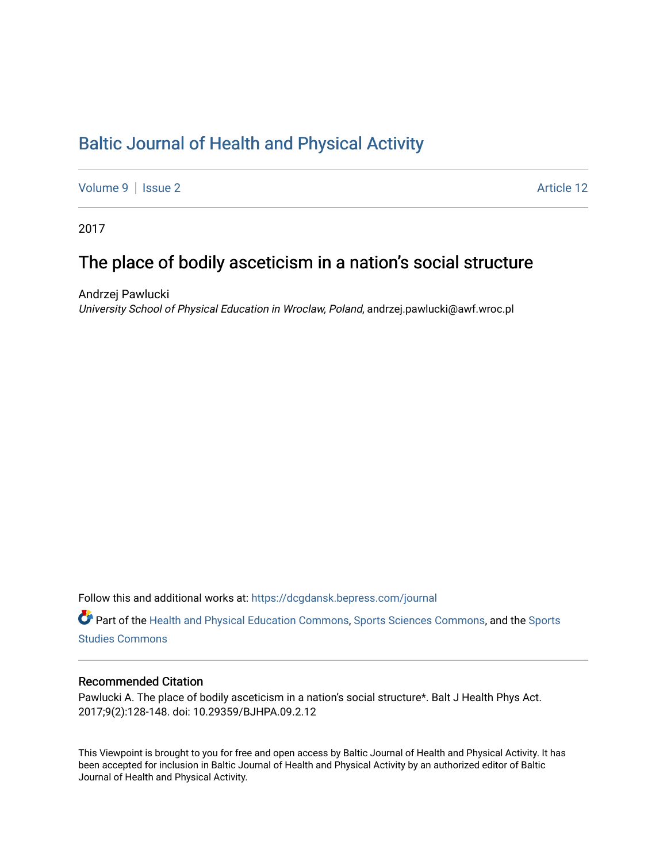# [Baltic Journal of Health and Physical Activity](https://dcgdansk.bepress.com/journal)

[Volume 9](https://dcgdansk.bepress.com/journal/vol9) | [Issue 2](https://dcgdansk.bepress.com/journal/vol9/iss2) Article 12

2017

# The place of bodily asceticism in a nation's social structure

Andrzej Pawlucki University School of Physical Education in Wroclaw, Poland, andrzej.pawlucki@awf.wroc.pl

Follow this and additional works at: [https://dcgdansk.bepress.com/journal](https://dcgdansk.bepress.com/journal?utm_source=dcgdansk.bepress.com%2Fjournal%2Fvol9%2Fiss2%2F12&utm_medium=PDF&utm_campaign=PDFCoverPages)

Part of the [Health and Physical Education Commons](http://network.bepress.com/hgg/discipline/1327?utm_source=dcgdansk.bepress.com%2Fjournal%2Fvol9%2Fiss2%2F12&utm_medium=PDF&utm_campaign=PDFCoverPages), [Sports Sciences Commons](http://network.bepress.com/hgg/discipline/759?utm_source=dcgdansk.bepress.com%2Fjournal%2Fvol9%2Fiss2%2F12&utm_medium=PDF&utm_campaign=PDFCoverPages), and the [Sports](http://network.bepress.com/hgg/discipline/1198?utm_source=dcgdansk.bepress.com%2Fjournal%2Fvol9%2Fiss2%2F12&utm_medium=PDF&utm_campaign=PDFCoverPages)  [Studies Commons](http://network.bepress.com/hgg/discipline/1198?utm_source=dcgdansk.bepress.com%2Fjournal%2Fvol9%2Fiss2%2F12&utm_medium=PDF&utm_campaign=PDFCoverPages) 

#### Recommended Citation

Pawlucki A. The place of bodily asceticism in a nation's social structure\*. Balt J Health Phys Act. 2017;9(2):128-148. doi: 10.29359/BJHPA.09.2.12

This Viewpoint is brought to you for free and open access by Baltic Journal of Health and Physical Activity. It has been accepted for inclusion in Baltic Journal of Health and Physical Activity by an authorized editor of Baltic Journal of Health and Physical Activity.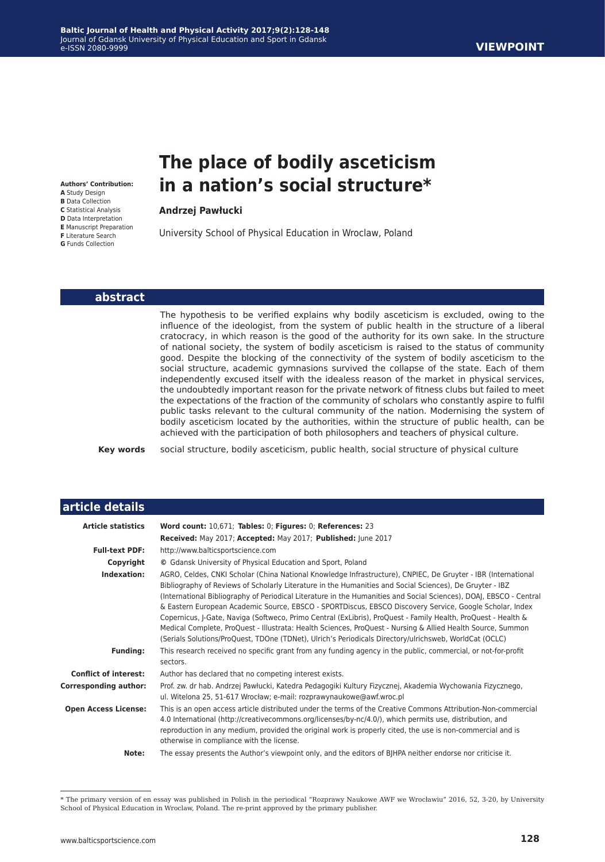# **The place of bodily asceticism in a nation's social structure\***

**Andrzej Pawłucki**

University School of Physical Education in Wroclaw, Poland

#### **abstract**

**Authors' Contribution: A** Study Design **B** Data Collection **C** Statistical Analysis **D** Data Interpretation **E** Manuscript Preparation **F** Literature Search **G** Funds Collection

> The hypothesis to be verified explains why bodily asceticism is excluded, owing to the influence of the ideologist, from the system of public health in the structure of a liberal cratocracy, in which reason is the good of the authority for its own sake. In the structure of national society, the system of bodily asceticism is raised to the status of community good. Despite the blocking of the connectivity of the system of bodily asceticism to the social structure, academic gymnasions survived the collapse of the state. Each of them independently excused itself with the idealess reason of the market in physical services, the undoubtedly important reason for the private network of fitness clubs but failed to meet the expectations of the fraction of the community of scholars who constantly aspire to fulfil public tasks relevant to the cultural community of the nation. Modernising the system of bodily asceticism located by the authorities, within the structure of public health, can be achieved with the participation of both philosophers and teachers of physical culture.

**Key words** social structure, bodily asceticism, public health, social structure of physical culture

| article details                |                                                                                                                                                                                                                                                                                                                                                                                                                                                                                                                                                                                                                                                                                                                                                                                                                                                                                                                       |
|--------------------------------|-----------------------------------------------------------------------------------------------------------------------------------------------------------------------------------------------------------------------------------------------------------------------------------------------------------------------------------------------------------------------------------------------------------------------------------------------------------------------------------------------------------------------------------------------------------------------------------------------------------------------------------------------------------------------------------------------------------------------------------------------------------------------------------------------------------------------------------------------------------------------------------------------------------------------|
| <b>Article statistics</b>      | Word count: 10,671; Tables: 0; Figures: 0; References: 23<br>Received: May 2017; Accepted: May 2017; Published: June 2017                                                                                                                                                                                                                                                                                                                                                                                                                                                                                                                                                                                                                                                                                                                                                                                             |
| <b>Full-text PDF:</b>          | http://www.balticsportscience.com                                                                                                                                                                                                                                                                                                                                                                                                                                                                                                                                                                                                                                                                                                                                                                                                                                                                                     |
| Copyright                      | © Gdansk University of Physical Education and Sport, Poland                                                                                                                                                                                                                                                                                                                                                                                                                                                                                                                                                                                                                                                                                                                                                                                                                                                           |
| Indexation:<br><b>Funding:</b> | AGRO, Celdes, CNKI Scholar (China National Knowledge Infrastructure), CNPIEC, De Gruyter - IBR (International<br>Bibliography of Reviews of Scholarly Literature in the Humanities and Social Sciences), De Gruyter - IBZ<br>(International Bibliography of Periodical Literature in the Humanities and Social Sciences), DOAJ, EBSCO - Central<br>& Eastern European Academic Source, EBSCO - SPORTDiscus, EBSCO Discovery Service, Google Scholar, Index<br>Copernicus, J-Gate, Naviga (Softweco, Primo Central (ExLibris), ProQuest - Family Health, ProQuest - Health &<br>Medical Complete, ProQuest - Illustrata: Health Sciences, ProQuest - Nursing & Allied Health Source, Summon<br>(Serials Solutions/ProQuest, TDOne (TDNet), Ulrich's Periodicals Directory/ulrichsweb, WorldCat (OCLC)<br>This research received no specific grant from any funding agency in the public, commercial, or not-for-profit |
|                                | sectors.                                                                                                                                                                                                                                                                                                                                                                                                                                                                                                                                                                                                                                                                                                                                                                                                                                                                                                              |
| <b>Conflict of interest:</b>   | Author has declared that no competing interest exists.                                                                                                                                                                                                                                                                                                                                                                                                                                                                                                                                                                                                                                                                                                                                                                                                                                                                |
| <b>Corresponding author:</b>   | Prof. zw. dr hab. Andrzej Pawłucki, Katedra Pedagogiki Kultury Fizycznej, Akademia Wychowania Fizycznego,<br>ul. Witelona 25, 51-617 Wrocław; e-mail: rozprawynaukowe@awf.wroc.pl                                                                                                                                                                                                                                                                                                                                                                                                                                                                                                                                                                                                                                                                                                                                     |
| <b>Open Access License:</b>    | This is an open access article distributed under the terms of the Creative Commons Attribution-Non-commercial<br>4.0 International (http://creativecommons.org/licenses/by-nc/4.0/), which permits use, distribution, and<br>reproduction in any medium, provided the original work is properly cited, the use is non-commercial and is<br>otherwise in compliance with the license.                                                                                                                                                                                                                                                                                                                                                                                                                                                                                                                                  |
| Note:                          | The essay presents the Author's viewpoint only, and the editors of BJHPA neither endorse nor criticise it.                                                                                                                                                                                                                                                                                                                                                                                                                                                                                                                                                                                                                                                                                                                                                                                                            |

\* The primary version of en essay was published in Polish in the periodical "Rozprawy Naukowe AWF we Wrocławiu" 2016, 52, 3-20, by University School of Physical Education in Wroclaw, Poland. The re-print approved by the primary publisher.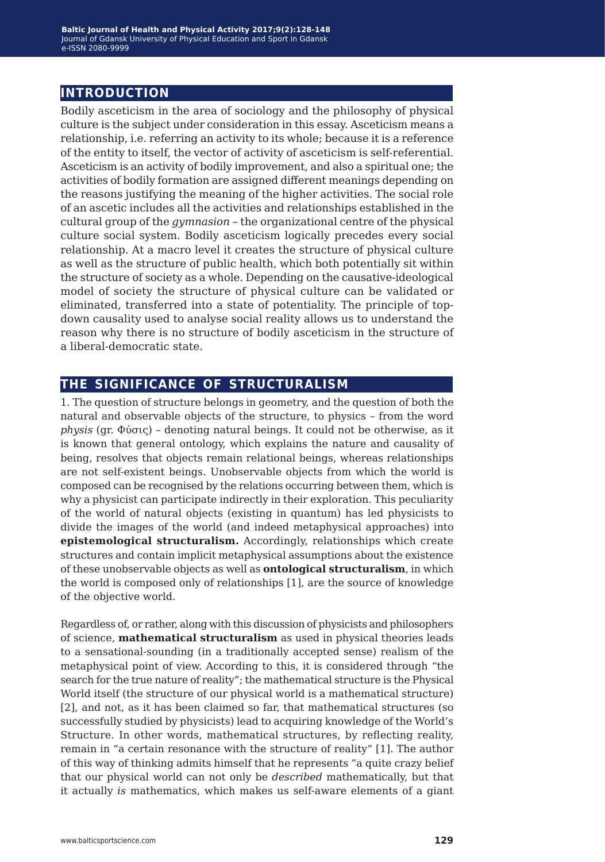### **introduction**

Bodily asceticism in the area of sociology and the philosophy of physical culture is the subject under consideration in this essay. Asceticism means a relationship, i.e. referring an activity to its whole; because it is a reference of the entity to itself, the vector of activity of asceticism is self-referential. Asceticism is an activity of bodily improvement, and also a spiritual one; the activities of bodily formation are assigned different meanings depending on the reasons justifying the meaning of the higher activities. The social role of an ascetic includes all the activities and relationships established in the cultural group of the *gymnasion* – the organizational centre of the physical culture social system. Bodily asceticism logically precedes every social relationship. At a macro level it creates the structure of physical culture as well as the structure of public health, which both potentially sit within the structure of society as a whole. Depending on the causative-ideological model of society the structure of physical culture can be validated or eliminated, transferred into a state of potentiality. The principle of topdown causality used to analyse social reality allows us to understand the reason why there is no structure of bodily asceticism in the structure of a liberal-democratic state.

## **the significance of structuralism**

1. The question of structure belongs in geometry, and the question of both the natural and observable objects of the structure, to physics *–* from the word *physis* (gr. Φύσις) *–* denoting natural beings. It could not be otherwise, as it is known that general ontology, which explains the nature and causality of being, resolves that objects remain relational beings, whereas relationships are not self-existent beings. Unobservable objects from which the world is composed can be recognised by the relations occurring between them, which is why a physicist can participate indirectly in their exploration. This peculiarity of the world of natural objects (existing in quantum) has led physicists to divide the images of the world (and indeed metaphysical approaches) into **epistemological structuralism.** Accordingly, relationships which create structures and contain implicit metaphysical assumptions about the existence of these unobservable objects as well as **ontological structuralism**, in which the world is composed only of relationships [1], are the source of knowledge of the objective world.

Regardless of, or rather, along with this discussion of physicists and philosophers of science, **mathematical structuralism** as used in physical theories leads to a sensational-sounding (in a traditionally accepted sense) realism of the metaphysical point of view. According to this, it is considered through "the search for the true nature of reality"; the mathematical structure is the Physical World itself (the structure of our physical world is a mathematical structure) [2], and not, as it has been claimed so far, that mathematical structures (so successfully studied by physicists) lead to acquiring knowledge of the World's Structure. In other words, mathematical structures, by reflecting reality, remain in "a certain resonance with the structure of reality" [1]. The author of this way of thinking admits himself that he represents "a quite crazy belief that our physical world can not only be *described* mathematically, but that it actually *is* mathematics, which makes us self-aware elements of a giant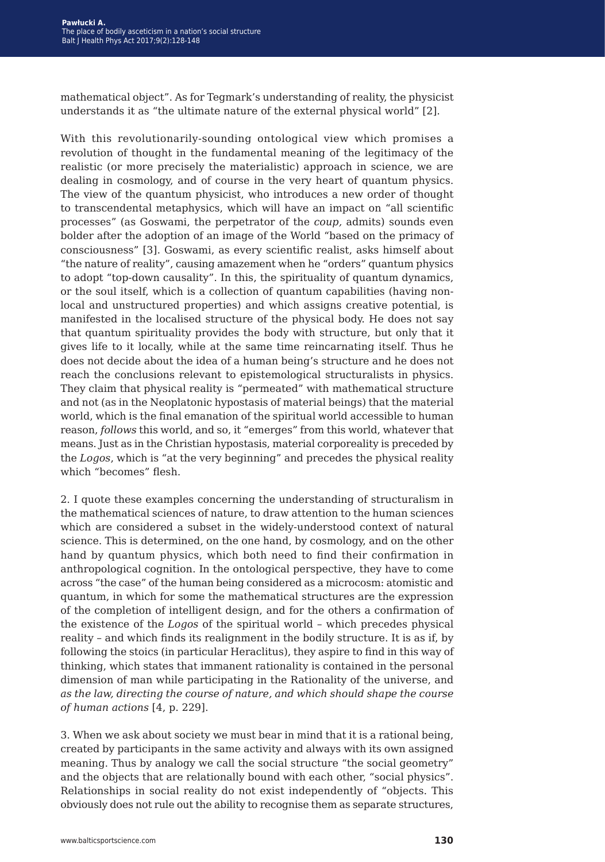mathematical object". As for Tegmark's understanding of reality, the physicist understands it as "the ultimate nature of the external physical world" [2].

With this revolutionarily-sounding ontological view which promises a revolution of thought in the fundamental meaning of the legitimacy of the realistic (or more precisely the materialistic) approach in science, we are dealing in cosmology, and of course in the very heart of quantum physics. The view of the quantum physicist, who introduces a new order of thought to transcendental metaphysics, which will have an impact on "all scientific processes" (as Goswami, the perpetrator of the *coup,* admits) sounds even bolder after the adoption of an image of the World "based on the primacy of consciousness" [3]. Goswami, as every scientific realist, asks himself about "the nature of reality", causing amazement when he "orders" quantum physics to adopt "top-down causality". In this, the spirituality of quantum dynamics, or the soul itself, which is a collection of quantum capabilities (having nonlocal and unstructured properties) and which assigns creative potential, is manifested in the localised structure of the physical body. He does not say that quantum spirituality provides the body with structure, but only that it gives life to it locally, while at the same time reincarnating itself. Thus he does not decide about the idea of a human being's structure and he does not reach the conclusions relevant to epistemological structuralists in physics. They claim that physical reality is "permeated" with mathematical structure and not (as in the Neoplatonic hypostasis of material beings) that the material world, which is the final emanation of the spiritual world accessible to human reason, *follows* this world, and so, it "emerges" from this world, whatever that means. Just as in the Christian hypostasis, material corporeality is preceded by the *Logos*, which is "at the very beginning" and precedes the physical reality which "becomes" flesh.

2. I quote these examples concerning the understanding of structuralism in the mathematical sciences of nature, to draw attention to the human sciences which are considered a subset in the widely-understood context of natural science. This is determined, on the one hand, by cosmology, and on the other hand by quantum physics, which both need to find their confirmation in anthropological cognition. In the ontological perspective, they have to come across "the case" of the human being considered as a microcosm: atomistic and quantum, in which for some the mathematical structures are the expression of the completion of intelligent design, and for the others a confirmation of the existence of the *Logos* of the spiritual world – which precedes physical reality – and which finds its realignment in the bodily structure. It is as if, by following the stoics (in particular Heraclitus), they aspire to find in this way of thinking, which states that immanent rationality is contained in the personal dimension of man while participating in the Rationality of the universe, and *as the law, directing the course of nature, and which should shape the course of human actions* [4, p. 229].

3. When we ask about society we must bear in mind that it is a rational being, created by participants in the same activity and always with its own assigned meaning. Thus by analogy we call the social structure "the social geometry" and the objects that are relationally bound with each other, "social physics". Relationships in social reality do not exist independently of "objects. This obviously does not rule out the ability to recognise them as separate structures,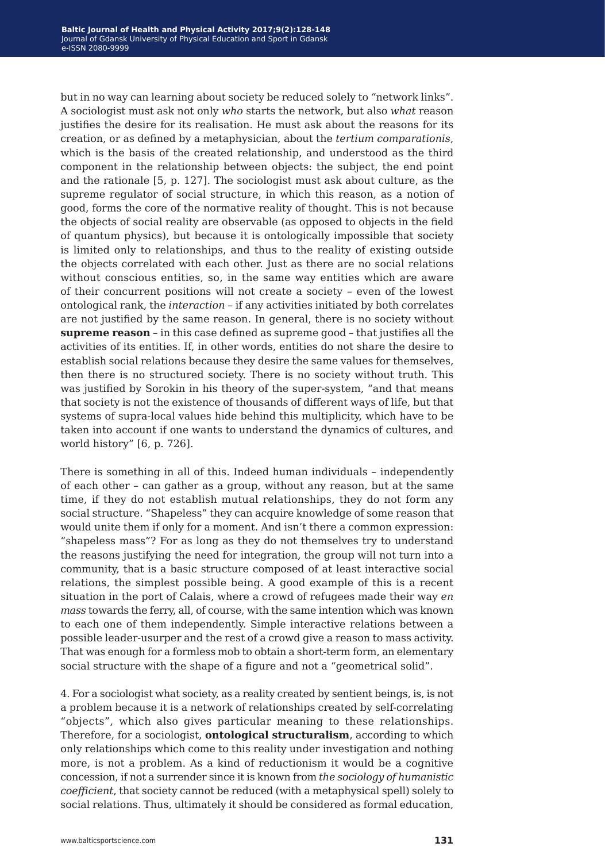but in no way can learning about society be reduced solely to "network links". A sociologist must ask not only *who* starts the network, but also *what* reason justifies the desire for its realisation. He must ask about the reasons for its creation, or as defined by a metaphysician, about the *tertium comparationis*, which is the basis of the created relationship, and understood as the third component in the relationship between objects: the subject, the end point and the rationale [5, p. 127]. The sociologist must ask about culture, as the supreme regulator of social structure, in which this reason, as a notion of good, forms the core of the normative reality of thought. This is not because the objects of social reality are observable (as opposed to objects in the field of quantum physics), but because it is ontologically impossible that society is limited only to relationships, and thus to the reality of existing outside the objects correlated with each other. Just as there are no social relations without conscious entities, so, in the same way entities which are aware of their concurrent positions will not create a society *–* even of the lowest ontological rank, the *interaction –* if any activities initiated by both correlates are not justified by the same reason. In general, there is no society without **supreme reason** *–* in this case defined as supreme good *–* that justifies all the activities of its entities. If, in other words, entities do not share the desire to establish social relations because they desire the same values for themselves, then there is no structured society. There is no society without truth*.* This was justified by Sorokin in his theory of the super-system, "and that means that society is not the existence of thousands of different ways of life, but that systems of supra-local values hide behind this multiplicity, which have to be taken into account if one wants to understand the dynamics of cultures, and world history" [6, p. 726].

There is something in all of this. Indeed human individuals – independently of each other – can gather as a group, without any reason, but at the same time, if they do not establish mutual relationships, they do not form any social structure. "Shapeless" they can acquire knowledge of some reason that would unite them if only for a moment. And isn't there a common expression: "shapeless mass"? For as long as they do not themselves try to understand the reasons justifying the need for integration, the group will not turn into a community, that is a basic structure composed of at least interactive social relations, the simplest possible being. A good example of this is a recent situation in the port of Calais, where a crowd of refugees made their way *en mass* towards the ferry, all, of course, with the same intention which was known to each one of them independently. Simple interactive relations between a possible leader-usurper and the rest of a crowd give a reason to mass activity. That was enough for a formless mob to obtain a short-term form, an elementary social structure with the shape of a figure and not a "geometrical solid".

4. For a sociologist what society, as a reality created by sentient beings, is, is not a problem because it is a network of relationships created by self-correlating "objects", which also gives particular meaning to these relationships. Therefore, for a sociologist, **ontological structuralism**, according to which only relationships which come to this reality under investigation and nothing more, is not a problem. As a kind of reductionism it would be a cognitive concession, if not a surrender since it is known from *the sociology of humanistic coefficient*, that society cannot be reduced (with a metaphysical spell) solely to social relations. Thus, ultimately it should be considered as formal education,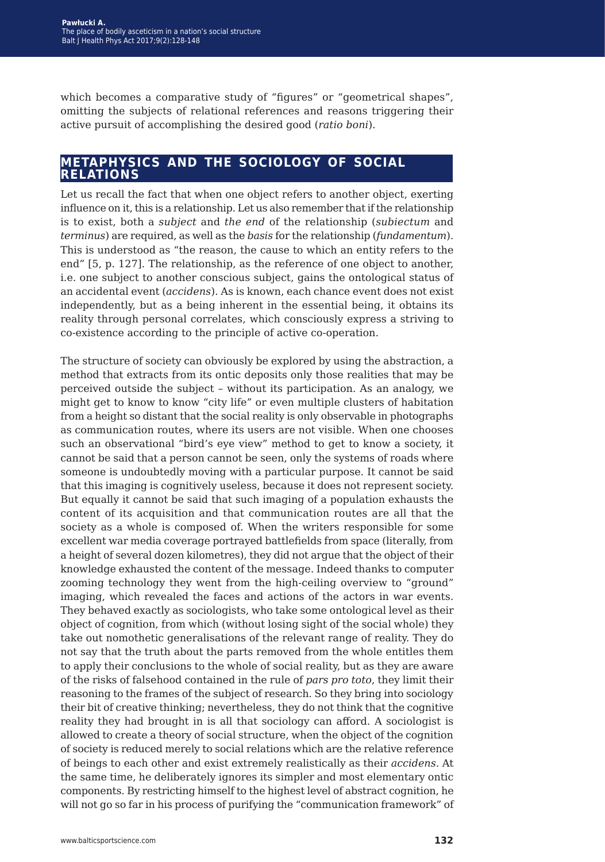which becomes a comparative study of "figures" or "geometrical shapes", omitting the subjects of relational references and reasons triggering their active pursuit of accomplishing the desired good (*ratio boni*).

#### **metaphysics and the sociology of social relations**

Let us recall the fact that when one object refers to another object, exerting influence on it, this is a relationship. Let us also remember that if the relationship is to exist, both a *subject* and *the end* of the relationship (*subiectum* and *terminus*) are required, as well as the *basis* for the relationship (*fundamentum*). This is understood as "the reason, the cause to which an entity refers to the end" [5, p. 127]. The relationship, as the reference of one object to another, i.e. one subject to another conscious subject, gains the ontological status of an accidental event (*accidens*). As is known, each chance event does not exist independently, but as a being inherent in the essential being, it obtains its reality through personal correlates, which consciously express a striving to co-existence according to the principle of active co-operation.

The structure of society can obviously be explored by using the abstraction, a method that extracts from its ontic deposits only those realities that may be perceived outside the subject – without its participation. As an analogy, we might get to know to know "city life" or even multiple clusters of habitation from a height so distant that the social reality is only observable in photographs as communication routes, where its users are not visible. When one chooses such an observational "bird's eye view" method to get to know a society, it cannot be said that a person cannot be seen, only the systems of roads where someone is undoubtedly moving with a particular purpose. It cannot be said that this imaging is cognitively useless, because it does not represent society. But equally it cannot be said that such imaging of a population exhausts the content of its acquisition and that communication routes are all that the society as a whole is composed of. When the writers responsible for some excellent war media coverage portrayed battlefields from space (literally, from a height of several dozen kilometres), they did not argue that the object of their knowledge exhausted the content of the message. Indeed thanks to computer zooming technology they went from the high-ceiling overview to "ground" imaging, which revealed the faces and actions of the actors in war events. They behaved exactly as sociologists, who take some ontological level as their object of cognition, from which (without losing sight of the social whole) they take out nomothetic generalisations of the relevant range of reality. They do not say that the truth about the parts removed from the whole entitles them to apply their conclusions to the whole of social reality, but as they are aware of the risks of falsehood contained in the rule of *pars pro toto*, they limit their reasoning to the frames of the subject of research. So they bring into sociology their bit of creative thinking; nevertheless, they do not think that the cognitive reality they had brought in is all that sociology can afford. A sociologist is allowed to create a theory of social structure, when the object of the cognition of society is reduced merely to social relations which are the relative reference of beings to each other and exist extremely realistically as their *accidens.* At the same time, he deliberately ignores its simpler and most elementary ontic components. By restricting himself to the highest level of abstract cognition, he will not go so far in his process of purifying the "communication framework" of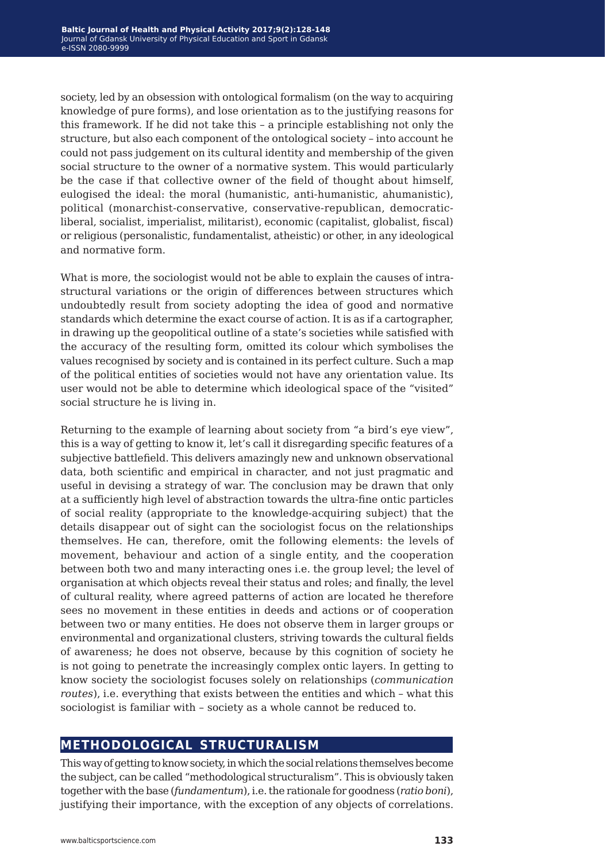society, led by an obsession with ontological formalism (on the way to acquiring knowledge of pure forms), and lose orientation as to the justifying reasons for this framework. If he did not take this – a principle establishing not only the structure, but also each component of the ontological society – into account he could not pass judgement on its cultural identity and membership of the given social structure to the owner of a normative system. This would particularly be the case if that collective owner of the field of thought about himself, eulogised the ideal: the moral (humanistic, anti-humanistic, ahumanistic), political (monarchist-conservative, conservative-republican, democraticliberal, socialist, imperialist, militarist), economic (capitalist, globalist, fiscal) or religious (personalistic, fundamentalist, atheistic) or other, in any ideological and normative form.

What is more, the sociologist would not be able to explain the causes of intrastructural variations or the origin of differences between structures which undoubtedly result from society adopting the idea of good and normative standards which determine the exact course of action. It is as if a cartographer, in drawing up the geopolitical outline of a state's societies while satisfied with the accuracy of the resulting form, omitted its colour which symbolises the values recognised by society and is contained in its perfect culture. Such a map of the political entities of societies would not have any orientation value. Its user would not be able to determine which ideological space of the "visited" social structure he is living in.

Returning to the example of learning about society from "a bird's eye view", this is a way of getting to know it, let's call it disregarding specific features of a subjective battlefield. This delivers amazingly new and unknown observational data, both scientific and empirical in character, and not just pragmatic and useful in devising a strategy of war. The conclusion may be drawn that only at a sufficiently high level of abstraction towards the ultra-fine ontic particles of social reality (appropriate to the knowledge-acquiring subject) that the details disappear out of sight can the sociologist focus on the relationships themselves. He can, therefore, omit the following elements: the levels of movement, behaviour and action of a single entity, and the cooperation between both two and many interacting ones i.e. the group level; the level of organisation at which objects reveal their status and roles; and finally, the level of cultural reality, where agreed patterns of action are located he therefore sees no movement in these entities in deeds and actions or of cooperation between two or many entities. He does not observe them in larger groups or environmental and organizational clusters, striving towards the cultural fields of awareness; he does not observe, because by this cognition of society he is not going to penetrate the increasingly complex ontic layers. In getting to know society the sociologist focuses solely on relationships (*communication routes*), i.e. everything that exists between the entities and which – what this sociologist is familiar with – society as a whole cannot be reduced to.

### **methodological structuralism**

This way of getting to know society, in which the social relations themselves become the subject, can be called "methodological structuralism". This is obviously taken together with the base (*fundamentum*), i.e. the rationale for goodness (*ratio boni*), justifying their importance, with the exception of any objects of correlations.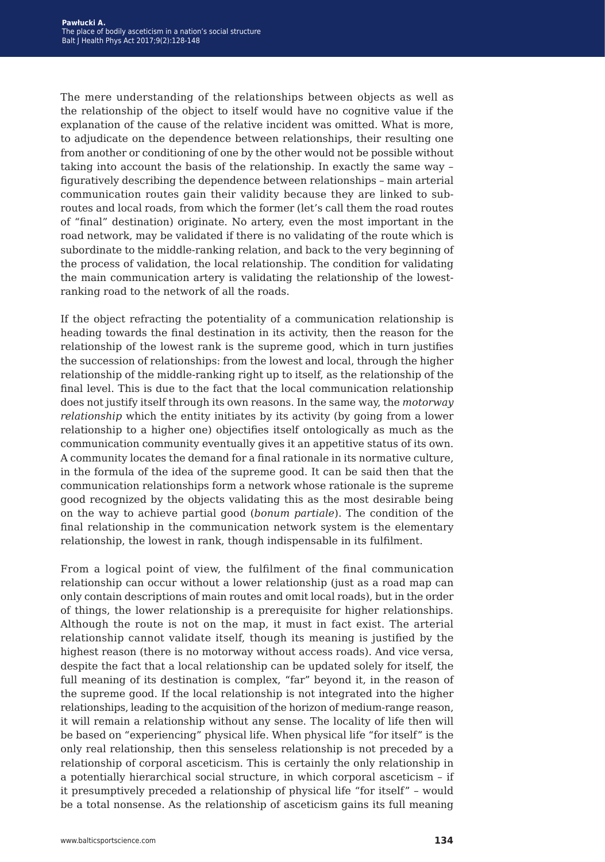The mere understanding of the relationships between objects as well as the relationship of the object to itself would have no cognitive value if the explanation of the cause of the relative incident was omitted. What is more, to adjudicate on the dependence between relationships, their resulting one from another or conditioning of one by the other would not be possible without taking into account the basis of the relationship. In exactly the same way – figuratively describing the dependence between relationships – main arterial communication routes gain their validity because they are linked to subroutes and local roads, from which the former (let's call them the road routes of "final" destination) originate. No artery, even the most important in the road network, may be validated if there is no validating of the route which is subordinate to the middle-ranking relation, and back to the very beginning of the process of validation, the local relationship. The condition for validating the main communication artery is validating the relationship of the lowestranking road to the network of all the roads.

If the object refracting the potentiality of a communication relationship is heading towards the final destination in its activity, then the reason for the relationship of the lowest rank is the supreme good, which in turn justifies the succession of relationships: from the lowest and local, through the higher relationship of the middle-ranking right up to itself, as the relationship of the final level. This is due to the fact that the local communication relationship does not justify itself through its own reasons. In the same way, the *motorway relationship* which the entity initiates by its activity (by going from a lower relationship to a higher one) objectifies itself ontologically as much as the communication community eventually gives it an appetitive status of its own. A community locates the demand for a final rationale in its normative culture, in the formula of the idea of the supreme good. It can be said then that the communication relationships form a network whose rationale is the supreme good recognized by the objects validating this as the most desirable being on the way to achieve partial good (*bonum partiale*). The condition of the final relationship in the communication network system is the elementary relationship, the lowest in rank, though indispensable in its fulfilment.

From a logical point of view, the fulfilment of the final communication relationship can occur without a lower relationship (just as a road map can only contain descriptions of main routes and omit local roads), but in the order of things, the lower relationship is a prerequisite for higher relationships. Although the route is not on the map, it must in fact exist. The arterial relationship cannot validate itself, though its meaning is justified by the highest reason (there is no motorway without access roads). And vice versa, despite the fact that a local relationship can be updated solely for itself, the full meaning of its destination is complex, "far" beyond it, in the reason of the supreme good. If the local relationship is not integrated into the higher relationships, leading to the acquisition of the horizon of medium-range reason, it will remain a relationship without any sense. The locality of life then will be based on "experiencing" physical life. When physical life "for itself" is the only real relationship, then this senseless relationship is not preceded by a relationship of corporal asceticism. This is certainly the only relationship in a potentially hierarchical social structure, in which corporal asceticism – if it presumptively preceded a relationship of physical life "for itself" – would be a total nonsense. As the relationship of asceticism gains its full meaning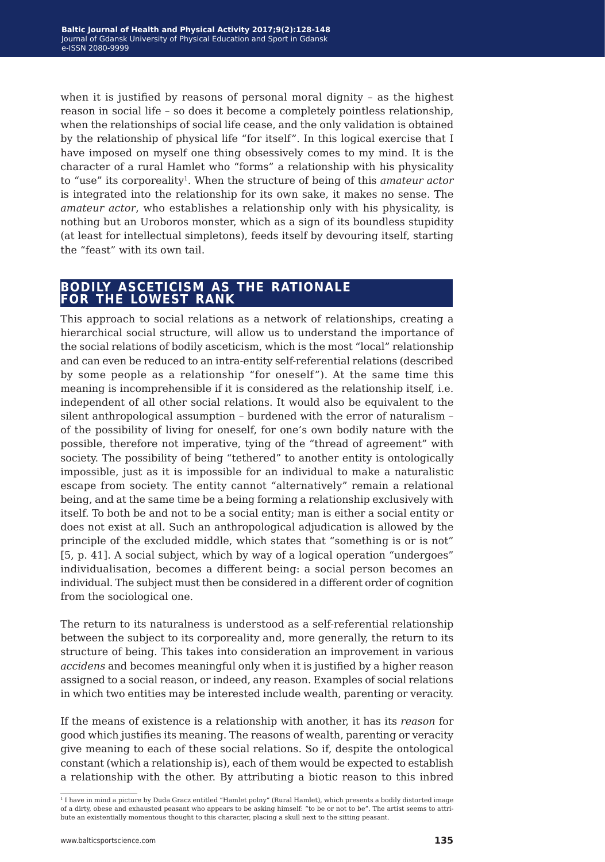when it is justified by reasons of personal moral dignity – as the highest reason in social life – so does it become a completely pointless relationship, when the relationships of social life cease, and the only validation is obtained by the relationship of physical life "for itself". In this logical exercise that I have imposed on myself one thing obsessively comes to my mind. It is the character of a rural Hamlet who "forms" a relationship with his physicality to "use" its corporeality1. When the structure of being of this *amateur actor* is integrated into the relationship for its own sake, it makes no sense. The *amateur actor*, who establishes a relationship only with his physicality, is nothing but an Uroboros monster, which as a sign of its boundless stupidity (at least for intellectual simpletons), feeds itself by devouring itself, starting the "feast" with its own tail.

#### **bodily asceticism as the rationale for the lowest rank**

This approach to social relations as a network of relationships, creating a hierarchical social structure, will allow us to understand the importance of the social relations of bodily asceticism, which is the most "local" relationship and can even be reduced to an intra-entity self-referential relations (described by some people as a relationship "for oneself"). At the same time this meaning is incomprehensible if it is considered as the relationship itself, i.e. independent of all other social relations. It would also be equivalent to the silent anthropological assumption – burdened with the error of naturalism – of the possibility of living for oneself, for one's own bodily nature with the possible, therefore not imperative, tying of the "thread of agreement" with society. The possibility of being "tethered" to another entity is ontologically impossible, just as it is impossible for an individual to make a naturalistic escape from society. The entity cannot "alternatively" remain a relational being, and at the same time be a being forming a relationship exclusively with itself. To both be and not to be a social entity; man is either a social entity or does not exist at all. Such an anthropological adjudication is allowed by the principle of the excluded middle, which states that "something is or is not" [5, p. 41]. A social subject, which by way of a logical operation "undergoes" individualisation, becomes a different being: a social person becomes an individual. The subject must then be considered in a different order of cognition from the sociological one.

The return to its naturalness is understood as a self-referential relationship between the subject to its corporeality and, more generally, the return to its structure of being. This takes into consideration an improvement in various *accidens* and becomes meaningful only when it is justified by a higher reason assigned to a social reason, or indeed, any reason. Examples of social relations in which two entities may be interested include wealth, parenting or veracity.

If the means of existence is a relationship with another, it has its *reason* for good which justifies its meaning. The reasons of wealth, parenting or veracity give meaning to each of these social relations. So if, despite the ontological constant (which a relationship is), each of them would be expected to establish a relationship with the other. By attributing a biotic reason to this inbred

<sup>1</sup> I have in mind a picture by Duda Gracz entitled "Hamlet polny" (Rural Hamlet), which presents a bodily distorted image of a dirty, obese and exhausted peasant who appears to be asking himself: "to be or not to be". The artist seems to attribute an existentially momentous thought to this character, placing a skull next to the sitting peasant.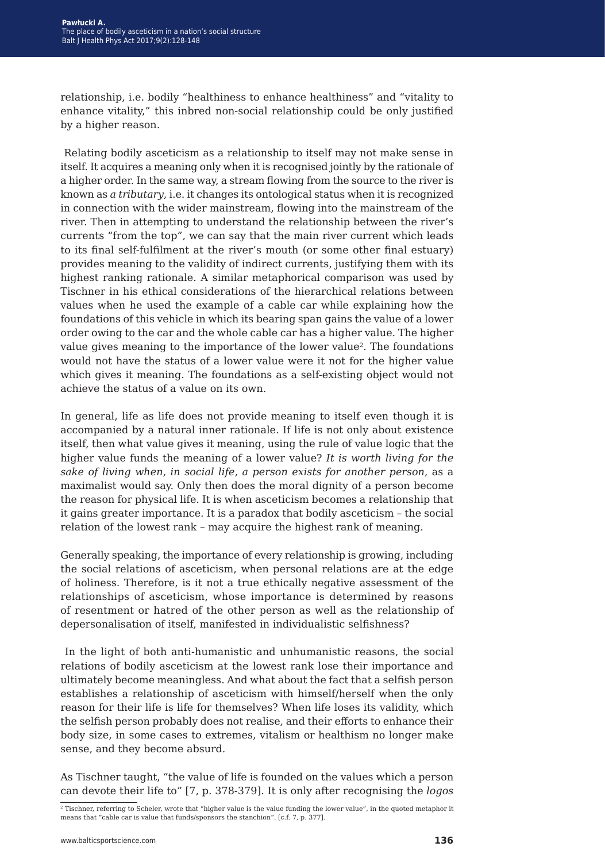relationship, i.e. bodily "healthiness to enhance healthiness" and "vitality to enhance vitality," this inbred non-social relationship could be only justified by a higher reason.

 Relating bodily asceticism as a relationship to itself may not make sense in itself. It acquires a meaning only when it is recognised jointly by the rationale of a higher order. In the same way, a stream flowing from the source to the river is known as *a tributary*, i.e. it changes its ontological status when it is recognized in connection with the wider mainstream, flowing into the mainstream of the river. Then in attempting to understand the relationship between the river's currents "from the top", we can say that the main river current which leads to its final self-fulfilment at the river's mouth (or some other final estuary) provides meaning to the validity of indirect currents, justifying them with its highest ranking rationale. A similar metaphorical comparison was used by Tischner in his ethical considerations of the hierarchical relations between values when he used the example of a cable car while explaining how the foundations of this vehicle in which its bearing span gains the value of a lower order owing to the car and the whole cable car has a higher value. The higher value gives meaning to the importance of the lower value2. The foundations would not have the status of a lower value were it not for the higher value which gives it meaning. The foundations as a self-existing object would not achieve the status of a value on its own.

In general, life as life does not provide meaning to itself even though it is accompanied by a natural inner rationale. If life is not only about existence itself, then what value gives it meaning, using the rule of value logic that the higher value funds the meaning of a lower value? *It is worth living for the sake of living when, in social life, a person exists for another person*, as a maximalist would say. Only then does the moral dignity of a person become the reason for physical life. It is when asceticism becomes a relationship that it gains greater importance. It is a paradox that bodily asceticism – the social relation of the lowest rank – may acquire the highest rank of meaning.

Generally speaking, the importance of every relationship is growing, including the social relations of asceticism, when personal relations are at the edge of holiness. Therefore, is it not a true ethically negative assessment of the relationships of asceticism, whose importance is determined by reasons of resentment or hatred of the other person as well as the relationship of depersonalisation of itself, manifested in individualistic selfishness?

 In the light of both anti-humanistic and unhumanistic reasons, the social relations of bodily asceticism at the lowest rank lose their importance and ultimately become meaningless. And what about the fact that a selfish person establishes a relationship of asceticism with himself/herself when the only reason for their life is life for themselves? When life loses its validity, which the selfish person probably does not realise, and their efforts to enhance their body size, in some cases to extremes, vitalism or healthism no longer make sense, and they become absurd.

As Tischner taught, "the value of life is founded on the values which a person can devote their life to" [7, p. 378-379]. It is only after recognising the *logos*

 $\frac{1}{2}$  Tischner, referring to Scheler, wrote that "higher value is the value funding the lower value", in the quoted metaphor it means that "cable car is value that funds/sponsors the stanchion". [c.f. 7, p. 377].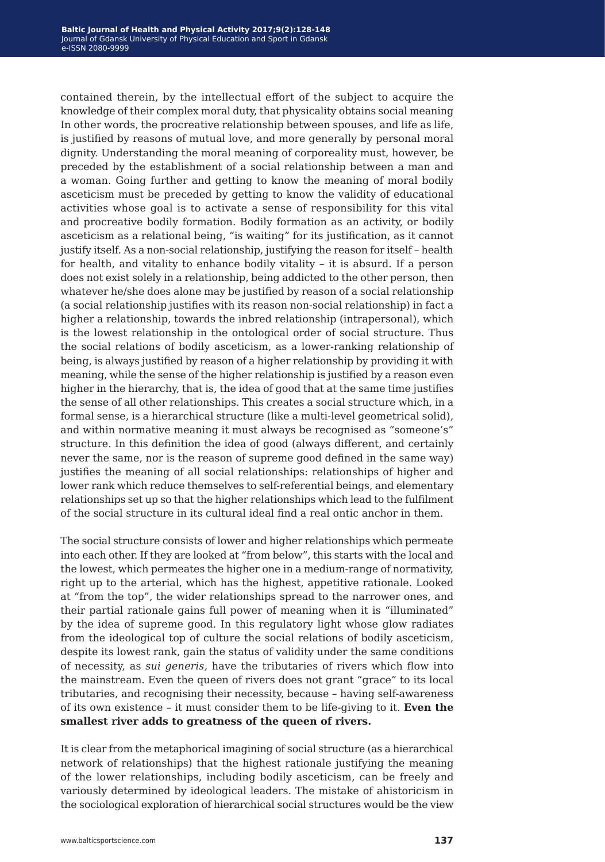contained therein, by the intellectual effort of the subject to acquire the knowledge of their complex moral duty, that physicality obtains social meaning In other words, the procreative relationship between spouses, and life as life, is justified by reasons of mutual love, and more generally by personal moral dignity. Understanding the moral meaning of corporeality must, however, be preceded by the establishment of a social relationship between a man and a woman. Going further and getting to know the meaning of moral bodily asceticism must be preceded by getting to know the validity of educational activities whose goal is to activate a sense of responsibility for this vital and procreative bodily formation. Bodily formation as an activity, or bodily asceticism as a relational being, "is waiting" for its justification, as it cannot justify itself. As a non-social relationship, justifying the reason for itself – health for health, and vitality to enhance bodily vitality – it is absurd. If a person does not exist solely in a relationship, being addicted to the other person, then whatever he/she does alone may be justified by reason of a social relationship (a social relationship justifies with its reason non-social relationship) in fact a higher a relationship, towards the inbred relationship (intrapersonal), which is the lowest relationship in the ontological order of social structure. Thus the social relations of bodily asceticism, as a lower-ranking relationship of being, is always justified by reason of a higher relationship by providing it with meaning, while the sense of the higher relationship is justified by a reason even higher in the hierarchy, that is, the idea of good that at the same time justifies the sense of all other relationships. This creates a social structure which, in a formal sense, is a hierarchical structure (like a multi-level geometrical solid), and within normative meaning it must always be recognised as "someone's" structure. In this definition the idea of good (always different, and certainly never the same, nor is the reason of supreme good defined in the same way) justifies the meaning of all social relationships: relationships of higher and lower rank which reduce themselves to self-referential beings, and elementary relationships set up so that the higher relationships which lead to the fulfilment of the social structure in its cultural ideal find a real ontic anchor in them.

The social structure consists of lower and higher relationships which permeate into each other. If they are looked at "from below", this starts with the local and the lowest, which permeates the higher one in a medium-range of normativity, right up to the arterial, which has the highest, appetitive rationale. Looked at "from the top", the wider relationships spread to the narrower ones, and their partial rationale gains full power of meaning when it is "illuminated" by the idea of supreme good. In this regulatory light whose glow radiates from the ideological top of culture the social relations of bodily asceticism, despite its lowest rank, gain the status of validity under the same conditions of necessity, as *sui generis,* have the tributaries of rivers which flow into the mainstream. Even the queen of rivers does not grant "grace" to its local tributaries, and recognising their necessity, because – having self-awareness of its own existence – it must consider them to be life-giving to it. **Even the smallest river adds to greatness of the queen of rivers.**

It is clear from the metaphorical imagining of social structure (as a hierarchical network of relationships) that the highest rationale justifying the meaning of the lower relationships, including bodily asceticism, can be freely and variously determined by ideological leaders. The mistake of ahistoricism in the sociological exploration of hierarchical social structures would be the view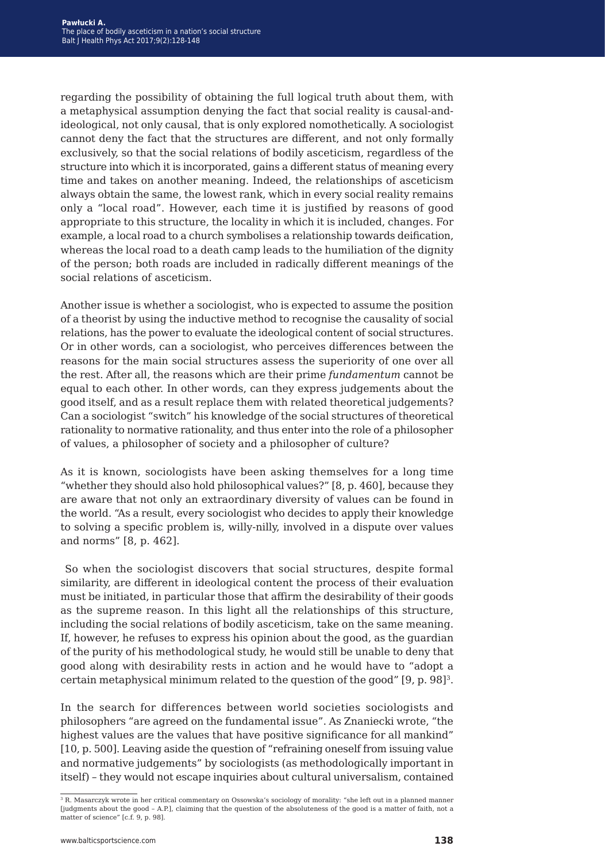regarding the possibility of obtaining the full logical truth about them, with a metaphysical assumption denying the fact that social reality is causal-andideological, not only causal, that is only explored nomothetically. A sociologist cannot deny the fact that the structures are different, and not only formally exclusively, so that the social relations of bodily asceticism, regardless of the structure into which it is incorporated, gains a different status of meaning every time and takes on another meaning. Indeed, the relationships of asceticism always obtain the same, the lowest rank, which in every social reality remains only a "local road". However, each time it is justified by reasons of good appropriate to this structure, the locality in which it is included, changes. For example, a local road to a church symbolises a relationship towards deification, whereas the local road to a death camp leads to the humiliation of the dignity of the person; both roads are included in radically different meanings of the social relations of asceticism.

Another issue is whether a sociologist, who is expected to assume the position of a theorist by using the inductive method to recognise the causality of social relations, has the power to evaluate the ideological content of social structures. Or in other words, can a sociologist, who perceives differences between the reasons for the main social structures assess the superiority of one over all the rest. After all, the reasons which are their prime *fundamentum* cannot be equal to each other. In other words, can they express judgements about the good itself, and as a result replace them with related theoretical judgements? Can a sociologist "switch" his knowledge of the social structures of theoretical rationality to normative rationality, and thus enter into the role of a philosopher of values, a philosopher of society and a philosopher of culture?

As it is known, sociologists have been asking themselves for a long time "whether they should also hold philosophical values?" [8, p. 460], because they are aware that not only an extraordinary diversity of values can be found in the world. "As a result, every sociologist who decides to apply their knowledge to solving a specific problem is, willy-nilly, involved in a dispute over values and norms" [8, p. 462].

 So when the sociologist discovers that social structures, despite formal similarity, are different in ideological content the process of their evaluation must be initiated, in particular those that affirm the desirability of their goods as the supreme reason. In this light all the relationships of this structure, including the social relations of bodily asceticism, take on the same meaning. If, however, he refuses to express his opinion about the good, as the guardian of the purity of his methodological study, he would still be unable to deny that good along with desirability rests in action and he would have to "adopt a certain metaphysical minimum related to the question of the good" [9, p. 98]3.

In the search for differences between world societies sociologists and philosophers "are agreed on the fundamental issue". As Znaniecki wrote, "the highest values are the values that have positive significance for all mankind" [10, p. 500]. Leaving aside the question of "refraining oneself from issuing value and normative judgements" by sociologists (as methodologically important in itself) – they would not escape inquiries about cultural universalism, contained

<sup>3</sup> R. Masarczyk wrote in her critical commentary on Ossowska's sociology of morality: "she left out in a planned manner [judgments about the good – A.P.], claiming that the question of the absoluteness of the good is a matter of faith, not a matter of science" [c.f. 9, p. 98].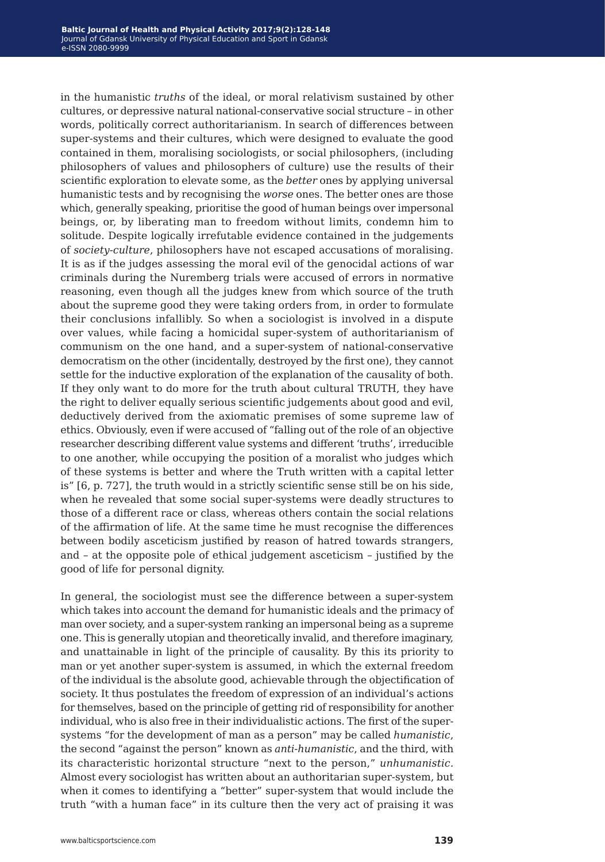in the humanistic *truths* of the ideal, or moral relativism sustained by other cultures, or depressive natural national-conservative social structure – in other words, politically correct authoritarianism. In search of differences between super-systems and their cultures, which were designed to evaluate the good contained in them, moralising sociologists, or social philosophers, (including philosophers of values and philosophers of culture) use the results of their scientific exploration to elevate some, as the *better* ones by applying universal humanistic tests and by recognising the *worse* ones. The better ones are those which, generally speaking, prioritise the good of human beings over impersonal beings, or, by liberating man to freedom without limits, condemn him to solitude. Despite logically irrefutable evidence contained in the judgements of *society-culture*, philosophers have not escaped accusations of moralising. It is as if the judges assessing the moral evil of the genocidal actions of war criminals during the Nuremberg trials were accused of errors in normative reasoning, even though all the judges knew from which source of the truth about the supreme good they were taking orders from, in order to formulate their conclusions infallibly. So when a sociologist is involved in a dispute over values, while facing a homicidal super-system of authoritarianism of communism on the one hand, and a super-system of national-conservative democratism on the other (incidentally, destroyed by the first one), they cannot settle for the inductive exploration of the explanation of the causality of both. If they only want to do more for the truth about cultural TRUTH, they have the right to deliver equally serious scientific judgements about good and evil, deductively derived from the axiomatic premises of some supreme law of ethics. Obviously, even if were accused of "falling out of the role of an objective researcher describing different value systems and different 'truths', irreducible to one another, while occupying the position of a moralist who judges which of these systems is better and where the Truth written with a capital letter is" [6, p. 727], the truth would in a strictly scientific sense still be on his side, when he revealed that some social super-systems were deadly structures to those of a different race or class, whereas others contain the social relations of the affirmation of life. At the same time he must recognise the differences between bodily asceticism justified by reason of hatred towards strangers, and – at the opposite pole of ethical judgement asceticism – justified by the good of life for personal dignity.

In general, the sociologist must see the difference between a super-system which takes into account the demand for humanistic ideals and the primacy of man over society, and a super-system ranking an impersonal being as a supreme one. This is generally utopian and theoretically invalid, and therefore imaginary, and unattainable in light of the principle of causality. By this its priority to man or yet another super-system is assumed, in which the external freedom of the individual is the absolute good, achievable through the objectification of society. It thus postulates the freedom of expression of an individual's actions for themselves, based on the principle of getting rid of responsibility for another individual, who is also free in their individualistic actions. The first of the supersystems "for the development of man as a person" may be called *humanistic*, the second "against the person" known as *anti*-*humanistic*, and the third, with its characteristic horizontal structure "next to the person," *unhumanistic.*  Almost every sociologist has written about an authoritarian super-system, but when it comes to identifying a "better" super-system that would include the truth "with a human face" in its culture then the very act of praising it was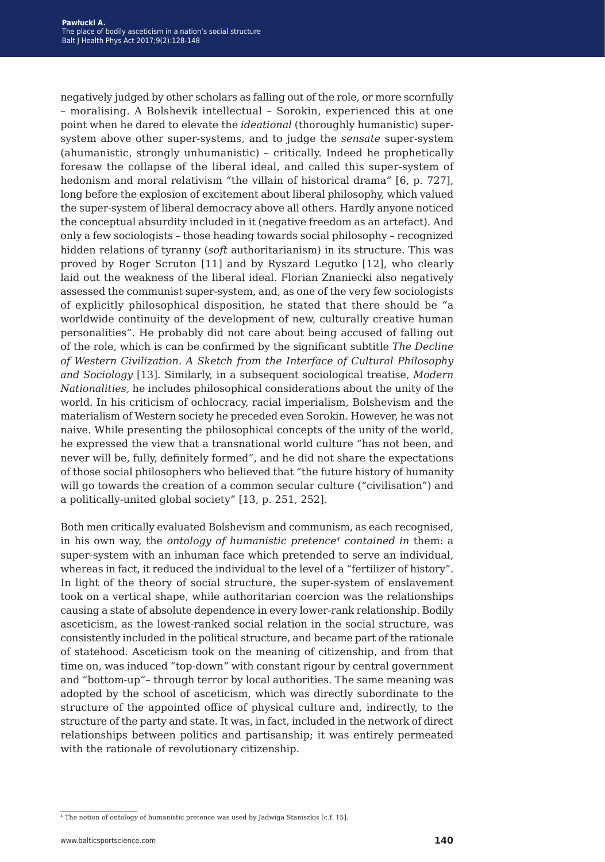negatively judged by other scholars as falling out of the role, or more scornfully – moralising. A Bolshevik intellectual – Sorokin, experienced this at one point when he dared to elevate the *ideational* (thoroughly humanistic) supersystem above other super-systems, and to judge the *sensate* super-system (ahumanistic, strongly unhumanistic) – critically. Indeed he prophetically foresaw the collapse of the liberal ideal, and called this super-system of hedonism and moral relativism "the villain of historical drama" [6, p. 727], long before the explosion of excitement about liberal philosophy, which valued the super-system of liberal democracy above all others. Hardly anyone noticed the conceptual absurdity included in it (negative freedom as an artefact). And only a few sociologists – those heading towards social philosophy – recognized hidden relations of tyranny (*soft* authoritarianism) in its structure. This was proved by Roger Scruton [11] and by Ryszard Legutko [12], who clearly laid out the weakness of the liberal ideal. Florian Znaniecki also negatively assessed the communist super-system, and, as one of the very few sociologists of explicitly philosophical disposition, he stated that there should be "a worldwide continuity of the development of new, culturally creative human personalities". He probably did not care about being accused of falling out of the role, which is can be confirmed by the significant subtitle *The Decline of Western Civilization. A Sketch from the Interface of Cultural Philosophy and Sociology* [13]. Similarly, in a subsequent sociological treatise, *Modern Nationalities,* he includes philosophical considerations about the unity of the world. In his criticism of ochlocracy, racial imperialism, Bolshevism and the materialism of Western society he preceded even Sorokin. However, he was not naive. While presenting the philosophical concepts of the unity of the world, he expressed the view that a transnational world culture "has not been, and never will be, fully, definitely formed", and he did not share the expectations of those social philosophers who believed that "the future history of humanity will go towards the creation of a common secular culture ("civilisation") and a politically-united global society" [13, p. 251, 252].

Both men critically evaluated Bolshevism and communism, as each recognised, in his own way, the *ontology of humanistic pretence4 contained in* them: a super-system with an inhuman face which pretended to serve an individual, whereas in fact, it reduced the individual to the level of a "fertilizer of history". In light of the theory of social structure, the super-system of enslavement took on a vertical shape, while authoritarian coercion was the relationships causing a state of absolute dependence in every lower-rank relationship. Bodily asceticism, as the lowest-ranked social relation in the social structure, was consistently included in the political structure, and became part of the rationale of statehood. Asceticism took on the meaning of citizenship, and from that time on, was induced "top-down" with constant rigour by central government and "bottom-up"– through terror by local authorities. The same meaning was adopted by the school of asceticism, which was directly subordinate to the structure of the appointed office of physical culture and, indirectly, to the structure of the party and state. It was, in fact, included in the network of direct relationships between politics and partisanship; it was entirely permeated with the rationale of revolutionary citizenship.

<sup>&</sup>lt;sup>4</sup> The notion of ontology of humanistic pretence was used by Jadwiga Staniszkis [c.f. 15].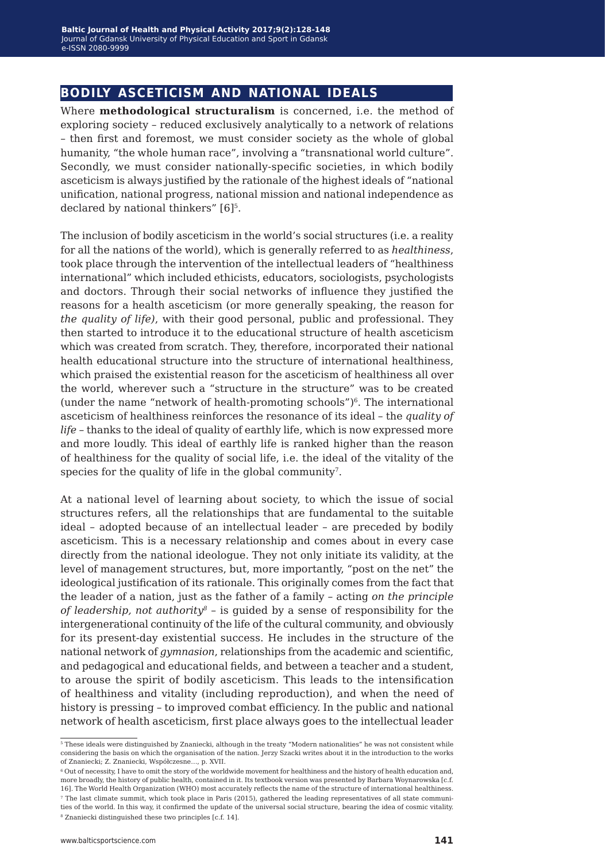#### **bodily asceticism and national ideals**

Where **methodological structuralism** is concerned, i.e. the method of exploring society – reduced exclusively analytically to a network of relations – then first and foremost, we must consider society as the whole of global humanity, "the whole human race", involving a "transnational world culture". Secondly, we must consider nationally-specific societies, in which bodily asceticism is always justified by the rationale of the highest ideals of "national unification, national progress, national mission and national independence as declared by national thinkers" [6]<sup>5</sup>.

The inclusion of bodily asceticism in the world's social structures (i.e. a reality for all the nations of the world), which is generally referred to as *healthiness*, took place through the intervention of the intellectual leaders of "healthiness international" which included ethicists, educators, sociologists, psychologists and doctors. Through their social networks of influence they justified the reasons for a health asceticism (or more generally speaking, the reason for *the quality of life)*, with their good personal, public and professional. They then started to introduce it to the educational structure of health asceticism which was created from scratch. They, therefore, incorporated their national health educational structure into the structure of international healthiness, which praised the existential reason for the asceticism of healthiness all over the world, wherever such a "structure in the structure" was to be created (under the name "network of health-promoting schools") $\delta$ . The international asceticism of healthiness reinforces the resonance of its ideal – the *quality of life –* thanks to the ideal of quality of earthly life, which is now expressed more and more loudly. This ideal of earthly life is ranked higher than the reason of healthiness for the quality of social life, i.e. the ideal of the vitality of the species for the quality of life in the global community<sup>7</sup>.

At a national level of learning about society, to which the issue of social structures refers, all the relationships that are fundamental to the suitable ideal – adopted because of an intellectual leader – are preceded by bodily asceticism. This is a necessary relationship and comes about in every case directly from the national ideologue. They not only initiate its validity, at the level of management structures, but, more importantly, "post on the net" the ideological justification of its rationale. This originally comes from the fact that the leader of a nation, just as the father of a family – acting *on the principle of leadership, not authority*<sup>8</sup> – is quided by a sense of responsibility for the intergenerational continuity of the life of the cultural community, and obviously for its present-day existential success. He includes in the structure of the national network of *gymnasion*, relationships from the academic and scientific, and pedagogical and educational fields, and between a teacher and a student, to arouse the spirit of bodily asceticism. This leads to the intensification of healthiness and vitality (including reproduction), and when the need of history is pressing – to improved combat efficiency. In the public and national network of health asceticism, first place always goes to the intellectual leader

<sup>5</sup> These ideals were distinguished by Znaniecki, although in the treaty "Modern nationalities" he was not consistent while considering the basis on which the organisation of the nation. Jerzy Szacki writes about it in the introduction to the works of Znaniecki; Z. Znaniecki, Współczesne…, p. XVII.

<sup>6</sup> Out of necessity, I have to omit the story of the worldwide movement for healthiness and the history of health education and, more broadly, the history of public health, contained in it. Its textbook version was presented by Barbara Woynarowska [c.f. 16]. The World Health Organization (WHO) most accurately reflects the name of the structure of international healthiness. 7 The last climate summit, which took place in Paris (2015), gathered the leading representatives of all state communi-

ties of the world. In this way, it confirmed the update of the universal social structure, bearing the idea of cosmic vitality. 8 Znaniecki distinguished these two principles [c.f. 14].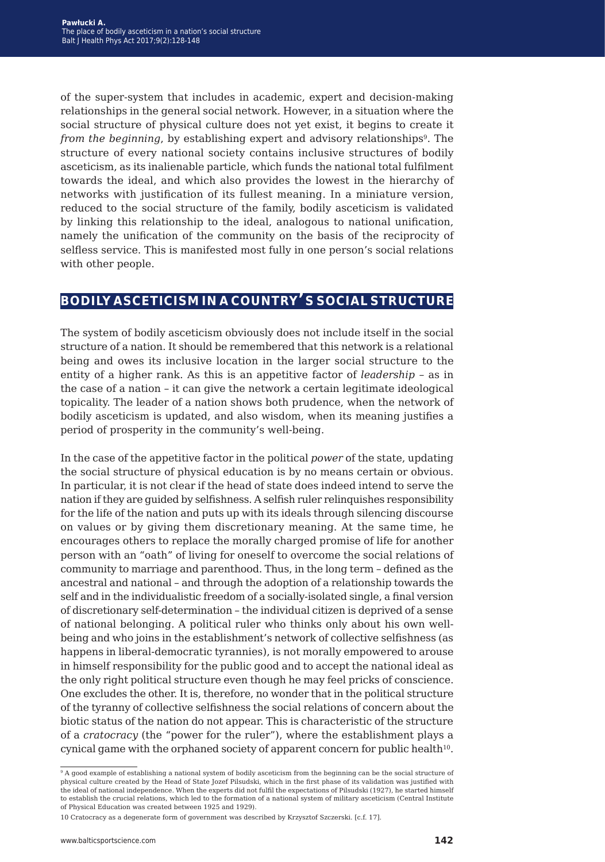of the super-system that includes in academic, expert and decision-making relationships in the general social network. However, in a situation where the social structure of physical culture does not yet exist, it begins to create it *from the beginning*, by establishing expert and advisory relationships<sup>9</sup>. The structure of every national society contains inclusive structures of bodily asceticism, as its inalienable particle, which funds the national total fulfilment towards the ideal, and which also provides the lowest in the hierarchy of networks with justification of its fullest meaning. In a miniature version, reduced to the social structure of the family, bodily asceticism is validated by linking this relationship to the ideal, analogous to national unification, namely the unification of the community on the basis of the reciprocity of selfless service. This is manifested most fully in one person's social relations with other people.

## **bodily asceticism in <sup>a</sup> country's social structure**

The system of bodily asceticism obviously does not include itself in the social structure of a nation. It should be remembered that this network is a relational being and owes its inclusive location in the larger social structure to the entity of a higher rank. As this is an appetitive factor of *leadership –* as in the case of a nation – it can give the network a certain legitimate ideological topicality. The leader of a nation shows both prudence, when the network of bodily asceticism is updated, and also wisdom, when its meaning justifies a period of prosperity in the community's well-being.

In the case of the appetitive factor in the political *power* of the state, updating the social structure of physical education is by no means certain or obvious. In particular, it is not clear if the head of state does indeed intend to serve the nation if they are guided by selfishness. A selfish ruler relinquishes responsibility for the life of the nation and puts up with its ideals through silencing discourse on values or by giving them discretionary meaning. At the same time, he encourages others to replace the morally charged promise of life for another person with an "oath" of living for oneself to overcome the social relations of community to marriage and parenthood. Thus, in the long term – defined as the ancestral and national – and through the adoption of a relationship towards the self and in the individualistic freedom of a socially-isolated single, a final version of discretionary self-determination – the individual citizen is deprived of a sense of national belonging. A political ruler who thinks only about his own wellbeing and who joins in the establishment's network of collective selfishness (as happens in liberal-democratic tyrannies), is not morally empowered to arouse in himself responsibility for the public good and to accept the national ideal as the only right political structure even though he may feel pricks of conscience. One excludes the other. It is, therefore, no wonder that in the political structure of the tyranny of collective selfishness the social relations of concern about the biotic status of the nation do not appear. This is characteristic of the structure of a *cratocracy* (the "power for the ruler"), where the establishment plays a cynical game with the orphaned society of apparent concern for public health<sup>10</sup>.

<sup>&</sup>lt;sup>9</sup> A good example of establishing a national system of bodily asceticism from the beginning can be the social structure of physical culture created by the Head of State Jozef Pilsudski, which in the first phase of its validation was justified with the ideal of national independence. When the experts did not fulfil the expectations of Pilsudski (1927), he started himself to establish the crucial relations, which led to the formation of a national system of military asceticism (Central Institute of Physical Education was created between 1925 and 1929).

<sup>10</sup> Cratocracy as a degenerate form of government was described by Krzysztof Szczerski. [c.f. 17].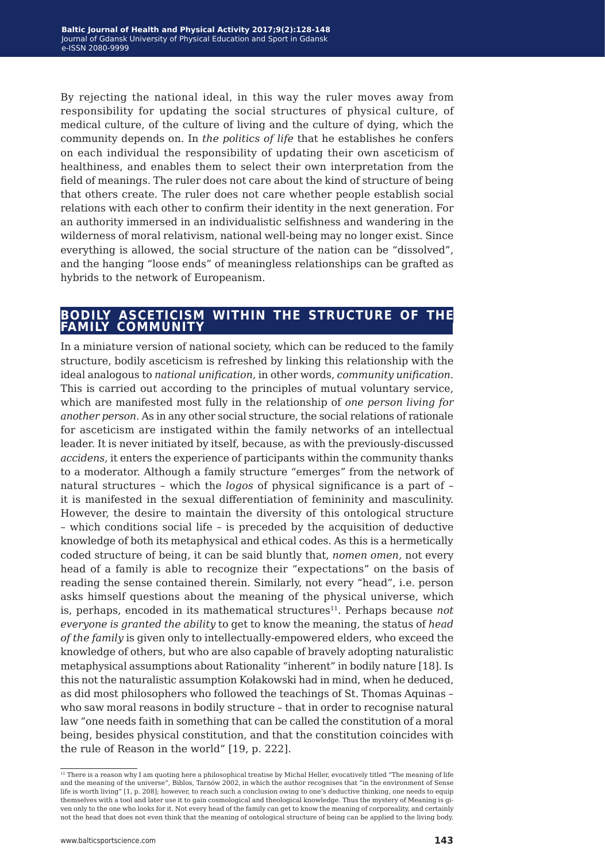By rejecting the national ideal, in this way the ruler moves away from responsibility for updating the social structures of physical culture, of medical culture, of the culture of living and the culture of dying, which the community depends on. In *the politics of life* that he establishes he confers on each individual the responsibility of updating their own asceticism of healthiness, and enables them to select their own interpretation from the field of meanings. The ruler does not care about the kind of structure of being that others create. The ruler does not care whether people establish social relations with each other to confirm their identity in the next generation*.* For an authority immersed in an individualistic selfishness and wandering in the wilderness of moral relativism, national well-being may no longer exist. Since everything is allowed, the social structure of the nation can be "dissolved", and the hanging "loose ends" of meaningless relationships can be grafted as hybrids to the network of Europeanism.

#### **bodily asceticism within the structure of the family community**

In a miniature version of national society, which can be reduced to the family structure, bodily asceticism is refreshed by linking this relationship with the ideal analogous to *national unification*, in other words, *community unification*. This is carried out according to the principles of mutual voluntary service, which are manifested most fully in the relationship of *one person living for another person.* As in any other social structure, the social relations of rationale for asceticism are instigated within the family networks of an intellectual leader. It is never initiated by itself, because, as with the previously-discussed *accidens,* it enters the experience of participants within the community thanks to a moderator. Although a family structure "emerges" from the network of natural structures – which the *logos* of physical significance is a part of – it is manifested in the sexual differentiation of femininity and masculinity. However, the desire to maintain the diversity of this ontological structure – which conditions social life – is preceded by the acquisition of deductive knowledge of both its metaphysical and ethical codes. As this is a hermetically coded structure of being, it can be said bluntly that, *nomen omen,* not every head of a family is able to recognize their "expectations" on the basis of reading the sense contained therein. Similarly, not every "head", i.e. person asks himself questions about the meaning of the physical universe, which is, perhaps, encoded in its mathematical structures<sup>11</sup>. Perhaps because *not everyone is granted the ability* to get to know the meaning*,* the status of *head of the family* is given only to intellectually-empowered elders, who exceed the knowledge of others, but who are also capable of bravely adopting naturalistic metaphysical assumptions about Rationality "inherent" in bodily nature [18]. Is this not the naturalistic assumption Kołakowski had in mind, when he deduced, as did most philosophers who followed the teachings of St. Thomas Aquinas – who saw moral reasons in bodily structure – that in order to recognise natural law "one needs faith in something that can be called the constitution of a moral being, besides physical constitution, and that the constitution coincides with the rule of Reason in the world" [19, p. 222].

<sup>&</sup>lt;sup>11</sup> There is a reason why I am quoting here a philosophical treatise by Michal Heller, evocatively titled "The meaning of life and the meaning of the universe", Biblos, Tarnów 2002, in which the author recognises that "in the environment of Sense life is worth living" [1, p. 208]; however, to reach such a conclusion owing to one's deductive thinking, one needs to equip themselves with a tool and later use it to gain cosmological and theological knowledge. Thus the mystery of Meaning is given only to the one who looks for it. Not every head of the family can get to know the meaning of corporeality, and certainly not the head that does not even think that the meaning of ontological structure of being can be applied to the living body.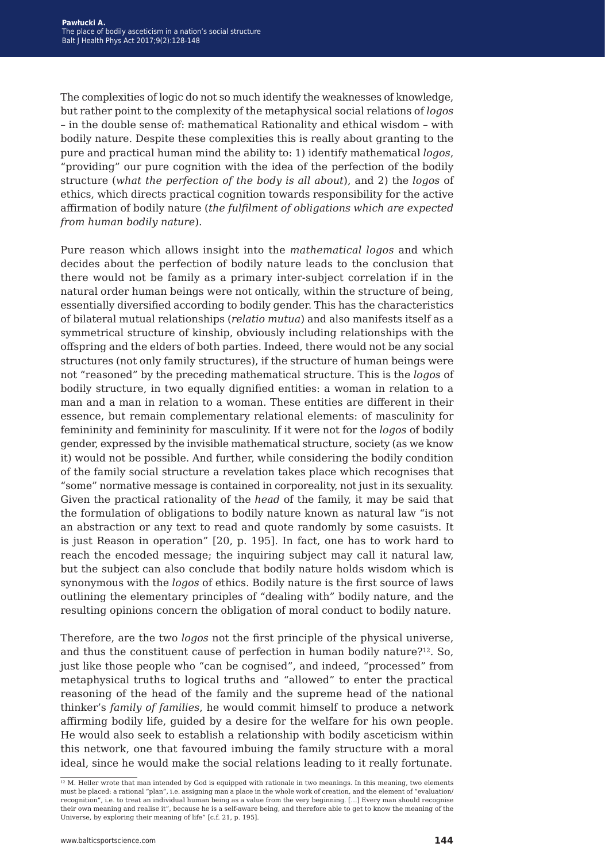The complexities of logic do not so much identify the weaknesses of knowledge, but rather point to the complexity of the metaphysical social relations of *logos –* in the double sense of: mathematical Rationality and ethical wisdom *–* with bodily nature. Despite these complexities this is really about granting to the pure and practical human mind the ability to: 1) identify mathematical *logos*, "providing" our pure cognition with the idea of the perfection of the bodily structure (*what the perfection of the body is all about*), and 2) the *logos* of ethics, which directs practical cognition towards responsibility for the active affirmation of bodily nature (*the fulfilment of obligations which are expected from human bodily nature*).

Pure reason which allows insight into the *mathematical logos* and which decides about the perfection of bodily nature leads to the conclusion that there would not be family as a primary inter-subject correlation if in the natural order human beings were not ontically, within the structure of being, essentially diversified according to bodily gender. This has the characteristics of bilateral mutual relationships (*relatio mutua*) and also manifests itself as a symmetrical structure of kinship, obviously including relationships with the offspring and the elders of both parties. Indeed, there would not be any social structures (not only family structures), if the structure of human beings were not "reasoned" by the preceding mathematical structure. This is the *logos* of bodily structure, in two equally dignified entities: a woman in relation to a man and a man in relation to a woman. These entities are different in their essence, but remain complementary relational elements: of masculinity for femininity and femininity for masculinity. If it were not for the *logos* of bodily gender, expressed by the invisible mathematical structure, society (as we know it) would not be possible. And further, while considering the bodily condition of the family social structure a revelation takes place which recognises that "some" normative message is contained in corporeality, not just in its sexuality. Given the practical rationality of the *head* of the family, it may be said that the formulation of obligations to bodily nature known as natural law "is not an abstraction or any text to read and quote randomly by some casuists. It is just Reason in operation" [20, p. 195]. In fact, one has to work hard to reach the encoded message; the inquiring subject may call it natural law, but the subject can also conclude that bodily nature holds wisdom which is synonymous with the *logos* of ethics. Bodily nature is the first source of laws outlining the elementary principles of "dealing with" bodily nature, and the resulting opinions concern the obligation of moral conduct to bodily nature.

Therefore, are the two *logos* not the first principle of the physical universe, and thus the constituent cause of perfection in human bodily nature?<sup>12</sup>. So, just like those people who "can be cognised", and indeed, "processed" from metaphysical truths to logical truths and "allowed" to enter the practical reasoning of the head of the family and the supreme head of the national thinker's *family of families*, he would commit himself to produce a network affirming bodily life, guided by a desire for the welfare for his own people. He would also seek to establish a relationship with bodily asceticism within this network, one that favoured imbuing the family structure with a moral ideal, since he would make the social relations leading to it really fortunate.

<sup>&</sup>lt;sup>12</sup> M. Heller wrote that man intended by God is equipped with rationale in two meanings. In this meaning, two elements must be placed: a rational "plan", i.e. assigning man a place in the whole work of creation, and the element of "evaluation/ recognition", i.e. to treat an individual human being as a value from the very beginning. […] Every man should recognise their own meaning and realise it", because he is a self-aware being, and therefore able to get to know the meaning of the Universe, by exploring their meaning of life" [c.f. 21, p. 195].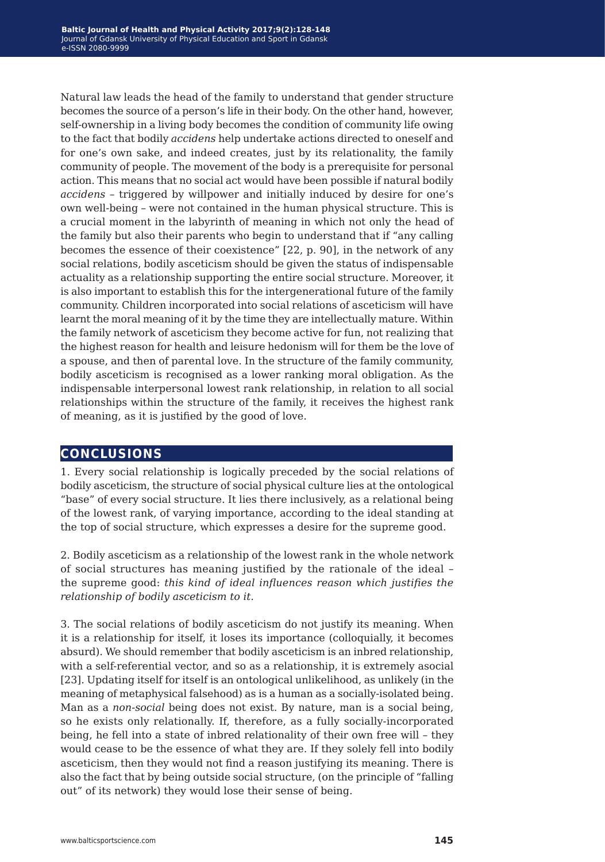Natural law leads the head of the family to understand that gender structure becomes the source of a person's life in their body. On the other hand, however, self-ownership in a living body becomes the condition of community life owing to the fact that bodily *accidens* help undertake actions directed to oneself and for one's own sake, and indeed creates, just by its relationality, the family community of people. The movement of the body is a prerequisite for personal action. This means that no social act would have been possible if natural bodily *accidens* – triggered by willpower and initially induced by desire for one's own well-being – were not contained in the human physical structure. This is a crucial moment in the labyrinth of meaning in which not only the head of the family but also their parents who begin to understand that if "any calling becomes the essence of their coexistence" [22, p. 90], in the network of any social relations, bodily asceticism should be given the status of indispensable actuality as a relationship supporting the entire social structure. Moreover, it is also important to establish this for the intergenerational future of the family community. Children incorporated into social relations of asceticism will have learnt the moral meaning of it by the time they are intellectually mature. Within the family network of asceticism they become active for fun, not realizing that the highest reason for health and leisure hedonism will for them be the love of a spouse, and then of parental love. In the structure of the family community, bodily asceticism is recognised as a lower ranking moral obligation. As the indispensable interpersonal lowest rank relationship, in relation to all social relationships within the structure of the family, it receives the highest rank of meaning, as it is justified by the good of love.

#### **conclusions**

1. Every social relationship is logically preceded by the social relations of bodily asceticism, the structure of social physical culture lies at the ontological "base" of every social structure. It lies there inclusively, as a relational being of the lowest rank, of varying importance, according to the ideal standing at the top of social structure, which expresses a desire for the supreme good.

2. Bodily asceticism as a relationship of the lowest rank in the whole network of social structures has meaning justified by the rationale of the ideal – the supreme good: *this kind of ideal influences reason which justifies the relationship of bodily asceticism to it.* 

3. The social relations of bodily asceticism do not justify its meaning. When it is a relationship for itself, it loses its importance (colloquially, it becomes absurd). We should remember that bodily asceticism is an inbred relationship, with a self-referential vector, and so as a relationship, it is extremely asocial [23]. Updating itself for itself is an ontological unlikelihood, as unlikely (in the meaning of metaphysical falsehood) as is a human as a socially-isolated being. Man as a *non-social* being does not exist. By nature, man is a social being, so he exists only relationally. If, therefore, as a fully socially-incorporated being, he fell into a state of inbred relationality of their own free will – they would cease to be the essence of what they are. If they solely fell into bodily asceticism, then they would not find a reason justifying its meaning. There is also the fact that by being outside social structure, (on the principle of "falling out" of its network) they would lose their sense of being.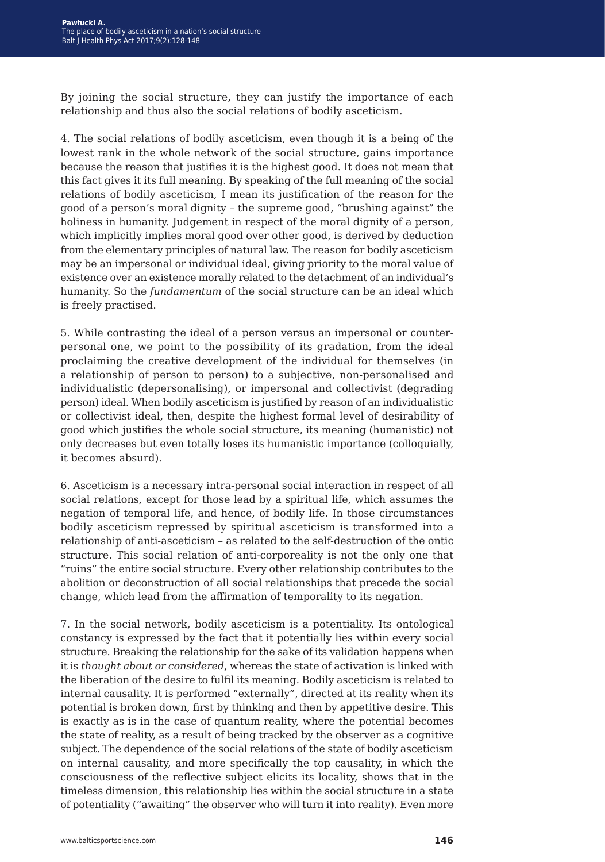By joining the social structure, they can justify the importance of each relationship and thus also the social relations of bodily asceticism.

4. The social relations of bodily asceticism, even though it is a being of the lowest rank in the whole network of the social structure, gains importance because the reason that justifies it is the highest good. It does not mean that this fact gives it its full meaning. By speaking of the full meaning of the social relations of bodily asceticism, I mean its justification of the reason for the good of a person's moral dignity – the supreme good, "brushing against" the holiness in humanity. Judgement in respect of the moral dignity of a person, which implicitly implies moral good over other good, is derived by deduction from the elementary principles of natural law. The reason for bodily asceticism may be an impersonal or individual ideal, giving priority to the moral value of existence over an existence morally related to the detachment of an individual's humanity. So the *fundamentum* of the social structure can be an ideal which is freely practised.

5. While contrasting the ideal of a person versus an impersonal or counterpersonal one, we point to the possibility of its gradation, from the ideal proclaiming the creative development of the individual for themselves (in a relationship of person to person) to a subjective, non-personalised and individualistic (depersonalising), or impersonal and collectivist (degrading person) ideal. When bodily asceticism is justified by reason of an individualistic or collectivist ideal, then, despite the highest formal level of desirability of good which justifies the whole social structure, its meaning (humanistic) not only decreases but even totally loses its humanistic importance (colloquially, it becomes absurd).

6. Asceticism is a necessary intra-personal social interaction in respect of all social relations, except for those lead by a spiritual life, which assumes the negation of temporal life, and hence, of bodily life. In those circumstances bodily asceticism repressed by spiritual asceticism is transformed into a relationship of anti-asceticism – as related to the self-destruction of the ontic structure. This social relation of anti-corporeality is not the only one that "ruins" the entire social structure. Every other relationship contributes to the abolition or deconstruction of all social relationships that precede the social change, which lead from the affirmation of temporality to its negation.

7. In the social network, bodily asceticism is a potentiality. Its ontological constancy is expressed by the fact that it potentially lies within every social structure. Breaking the relationship for the sake of its validation happens when it is *thought about or considered*, whereas the state of activation is linked with the liberation of the desire to fulfil its meaning. Bodily asceticism is related to internal causality. It is performed "externally", directed at its reality when its potential is broken down, first by thinking and then by appetitive desire. This is exactly as is in the case of quantum reality, where the potential becomes the state of reality, as a result of being tracked by the observer as a cognitive subject. The dependence of the social relations of the state of bodily asceticism on internal causality, and more specifically the top causality, in which the consciousness of the reflective subject elicits its locality, shows that in the timeless dimension, this relationship lies within the social structure in a state of potentiality ("awaiting" the observer who will turn it into reality). Even more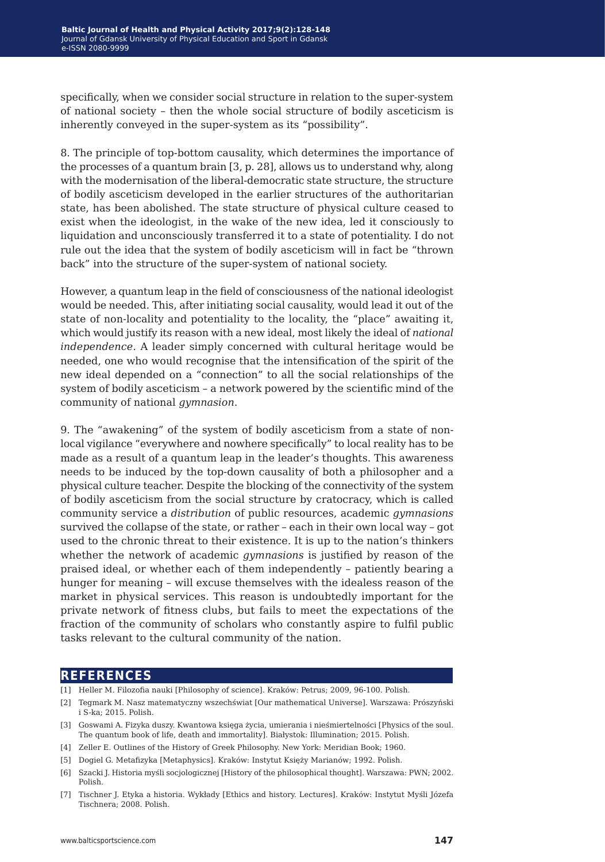specifically, when we consider social structure in relation to the super-system of national society – then the whole social structure of bodily asceticism is inherently conveyed in the super-system as its "possibility".

8. The principle of top-bottom causality, which determines the importance of the processes of a quantum brain [3, p. 28], allows us to understand why, along with the modernisation of the liberal-democratic state structure, the structure of bodily asceticism developed in the earlier structures of the authoritarian state, has been abolished. The state structure of physical culture ceased to exist when the ideologist, in the wake of the new idea, led it consciously to liquidation and unconsciously transferred it to a state of potentiality. I do not rule out the idea that the system of bodily asceticism will in fact be "thrown back" into the structure of the super-system of national society.

However, a quantum leap in the field of consciousness of the national ideologist would be needed. This, after initiating social causality, would lead it out of the state of non-locality and potentiality to the locality, the "place" awaiting it, which would justify its reason with a new ideal, most likely the ideal of *national independence.* A leader simply concerned with cultural heritage would be needed, one who would recognise that the intensification of the spirit of the new ideal depended on a "connection" to all the social relationships of the system of bodily asceticism – a network powered by the scientific mind of the community of national *gymnasion*.

9. The "awakening" of the system of bodily asceticism from a state of nonlocal vigilance "everywhere and nowhere specifically" to local reality has to be made as a result of a quantum leap in the leader's thoughts. This awareness needs to be induced by the top-down causality of both a philosopher and a physical culture teacher. Despite the blocking of the connectivity of the system of bodily asceticism from the social structure by cratocracy, which is called community service a *distribution* of public resources, academic *gymnasions* survived the collapse of the state, or rather – each in their own local way – got used to the chronic threat to their existence. It is up to the nation's thinkers whether the network of academic *gymnasions* is justified by reason of the praised ideal, or whether each of them independently – patiently bearing a hunger for meaning – will excuse themselves with the idealess reason of the market in physical services. This reason is undoubtedly important for the private network of fitness clubs, but fails to meet the expectations of the fraction of the community of scholars who constantly aspire to fulfil public tasks relevant to the cultural community of the nation.

#### **references**

- [1] Heller M. Filozofia nauki [Philosophy of science]. Kraków: Petrus; 2009, 96-100. Polish.
- [2] Tegmark M. Nasz matematyczny wszechświat [Our mathematical Universe]. Warszawa: Prószyński i S-ka; 2015. Polish.
- [3] Goswami A. Fizyka duszy. Kwantowa księga życia, umierania i nieśmiertelności [Physics of the soul. The quantum book of life, death and immortality]. Białystok: Illumination; 2015. Polish.
- [4] Zeller E. Outlines of the History of Greek Philosophy. New York: Meridian Book; 1960.
- [5] Dogiel G. Metafizyka [Metaphysics]. Kraków: Instytut Księży Marianów; 1992. Polish.
- [6] Szacki J. Historia myśli socjologicznej [History of the philosophical thought]. Warszawa: PWN; 2002. Polish.
- [7] Tischner J. Etyka a historia. Wykłady [Ethics and history. Lectures]. Kraków: Instytut Myśli Józefa Tischnera; 2008. Polish.